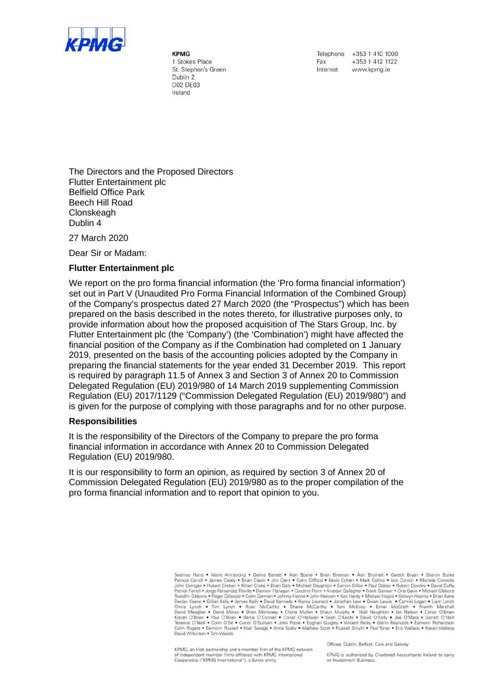

KPMG 1 Stokes Place St. Stephen's Green Dublin 2 D02 DE03 Ireland

Telephone +353 1 410 1000 +353 1 412 1122 Fax Internet www.kpma.ie

The Directors and the Proposed Directors Flutter Entertainment plc Belfield Office Park Beech Hill Road **Clonskeagh** Dublin 4

27 March 2020

Dear Sir or Madam:

## **Flutter Entertainment plc**

We report on the pro forma financial information (the 'Pro forma financial information') set out in Part V (Unaudited Pro Forma Financial Information of the Combined Group) of the Company's prospectus dated 27 March 2020 (the "Prospectus") which has been prepared on the basis described in the notes thereto, for illustrative purposes only, to provide information about how the proposed acquisition of The Stars Group, Inc. by Flutter Entertainment plc (the 'Company') (the 'Combination') might have affected the financial position of the Company as if the Combination had completed on 1 January 2019, presented on the basis of the accounting policies adopted by the Company in preparing the financial statements for the year ended 31 December 2019. This report is required by paragraph 11.5 of Annex 3 and Section 3 of Annex 20 to Commission Delegated Regulation (EU) 2019/980 of 14 March 2019 supplementing Commission Regulation (EU) 2017/1129 ("Commission Delegated Regulation (EU) 2019/980") and is given for the purpose of complying with those paragraphs and for no other purpose.

## **Responsibilities**

It is the responsibility of the Directors of the Company to prepare the pro forma financial information in accordance with Annex 20 to Commission Delegated Regulation (EU) 2019/980.

It is our responsibility to form an opinion, as required by section 3 of Annex 20 of Commission Delegated Regulation (EU) 2019/980 as to the proper compilation of the pro forma financial information and to report that opinion to you.

> Seamus Hand • Marie Armstrong • Darina Barrett • Alan Boyne • Brian Brennan • Alan Bromell • Gareth Bryan • Sharon Burke<br>Patricia Carroll • James Casey • Brian Clavin • Jim Clery • Colm Clifford • Kevin Cohen • Mark Collin nualian Keare • Gillian Kelly • James Kelly • David Kennedy • Nancy Leonard • Jonathan Lew • Owen Lewis • Carmel Logan • Liam Lynch<br>Declan Keare • Gillian Kelly • James Kelly • David Kennedy • Nancy Leonard • Jonathan Lew David Wilkinson . Tom Woods

KPMG, an Irish partnership and a member firm of the KPMG network of independent member firms affiliated with KPMG International<br>Cooperative ("KPMG International"), a Swiss entity

Offices: Dublin, Belfast, Cork and Galway

KPMG is authorised by Chartered Accountants Ireland to carry on Investment Business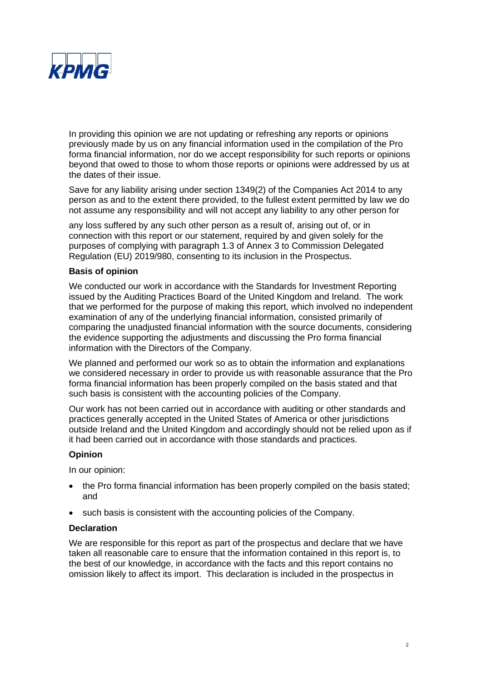

In providing this opinion we are not updating or refreshing any reports or opinions previously made by us on any financial information used in the compilation of the Pro forma financial information, nor do we accept responsibility for such reports or opinions beyond that owed to those to whom those reports or opinions were addressed by us at the dates of their issue.

Save for any liability arising under section 1349(2) of the Companies Act 2014 to any person as and to the extent there provided, to the fullest extent permitted by law we do not assume any responsibility and will not accept any liability to any other person for

any loss suffered by any such other person as a result of, arising out of, or in connection with this report or our statement, required by and given solely for the purposes of complying with paragraph 1.3 of Annex 3 to Commission Delegated Regulation (EU) 2019/980, consenting to its inclusion in the Prospectus.

# **Basis of opinion**

We conducted our work in accordance with the Standards for Investment Reporting issued by the Auditing Practices Board of the United Kingdom and Ireland. The work that we performed for the purpose of making this report, which involved no independent examination of any of the underlying financial information, consisted primarily of comparing the unadjusted financial information with the source documents, considering the evidence supporting the adjustments and discussing the Pro forma financial information with the Directors of the Company.

We planned and performed our work so as to obtain the information and explanations we considered necessary in order to provide us with reasonable assurance that the Pro forma financial information has been properly compiled on the basis stated and that such basis is consistent with the accounting policies of the Company.

Our work has not been carried out in accordance with auditing or other standards and practices generally accepted in the United States of America or other jurisdictions outside Ireland and the United Kingdom and accordingly should not be relied upon as if it had been carried out in accordance with those standards and practices.

## **Opinion**

In our opinion:

- the Pro forma financial information has been properly compiled on the basis stated; and
- such basis is consistent with the accounting policies of the Company.

# **Declaration**

We are responsible for this report as part of the prospectus and declare that we have taken all reasonable care to ensure that the information contained in this report is, to the best of our knowledge, in accordance with the facts and this report contains no omission likely to affect its import. This declaration is included in the prospectus in